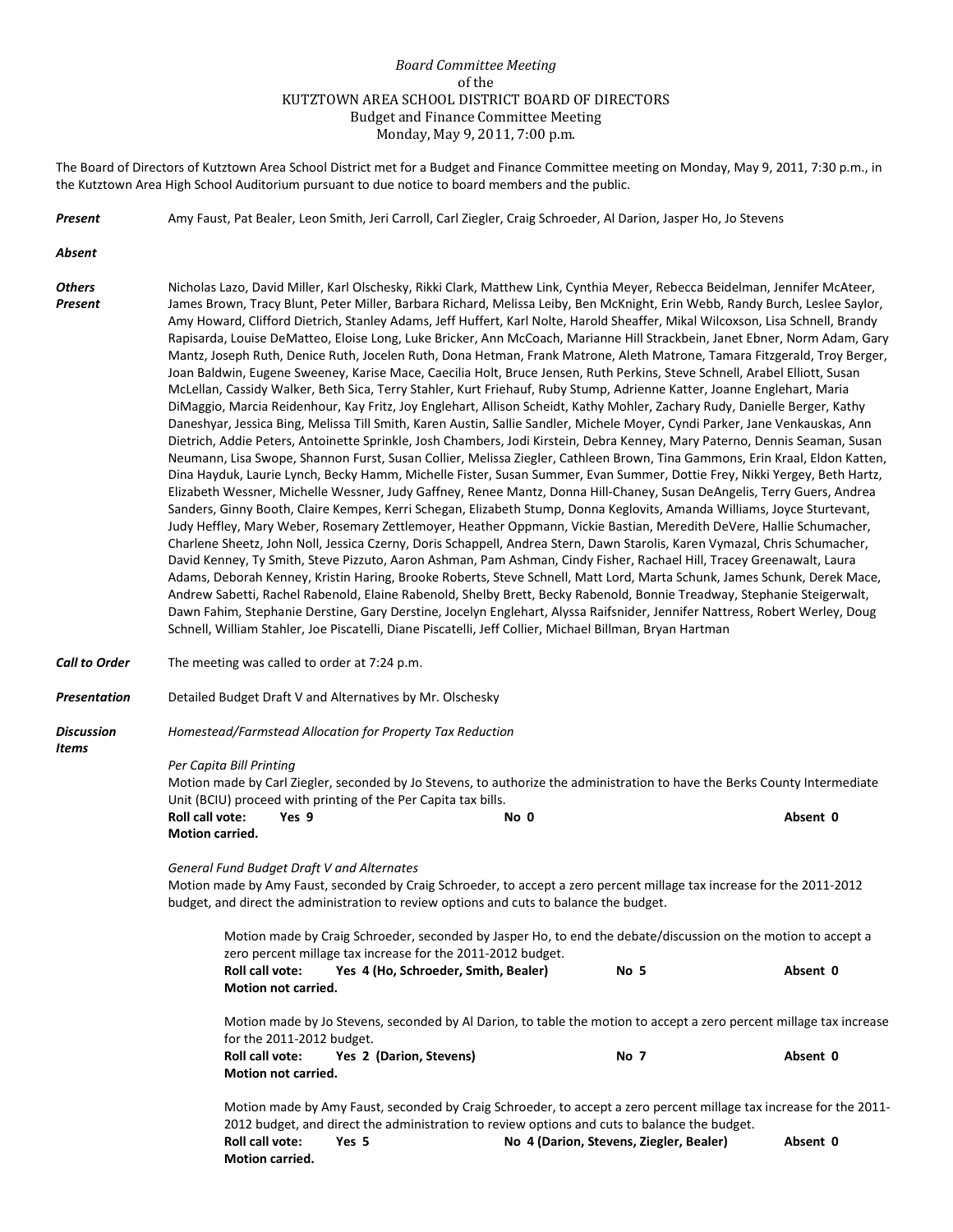## *Board Committee Meeting* of the KUTZTOWN AREA SCHOOL DISTRICT BOARD OF DIRECTORS Budget and Finance Committee Meeting Monday, May 9, 2011, 7:00 p.m.

The Board of Directors of Kutztown Area School District met for a Budget and Finance Committee meeting on Monday, May 9, 2011, 7:30 p.m., in the Kutztown Area High School Auditorium pursuant to due notice to board members and the public.

*Present* Amy Faust, Pat Bealer, Leon Smith, Jeri Carroll, Carl Ziegler, Craig Schroeder, Al Darion, Jasper Ho, Jo Stevens

*Absent*

*Items*

- *Others* Nicholas Lazo, David Miller, Karl Olschesky, Rikki Clark, Matthew Link, Cynthia Meyer, Rebecca Beidelman, Jennifer McAteer, *Present* James Brown, Tracy Blunt, Peter Miller, Barbara Richard, Melissa Leiby, Ben McKnight, Erin Webb, Randy Burch, Leslee Saylor, Amy Howard, Clifford Dietrich, Stanley Adams, Jeff Huffert, Karl Nolte, Harold Sheaffer, Mikal Wilcoxson, Lisa Schnell, Brandy Rapisarda, Louise DeMatteo, Eloise Long, Luke Bricker, Ann McCoach, Marianne Hill Strackbein, Janet Ebner, Norm Adam, Gary Mantz, Joseph Ruth, Denice Ruth, Jocelen Ruth, Dona Hetman, Frank Matrone, Aleth Matrone, Tamara Fitzgerald, Troy Berger, Joan Baldwin, Eugene Sweeney, Karise Mace, Caecilia Holt, Bruce Jensen, Ruth Perkins, Steve Schnell, Arabel Elliott, Susan McLellan, Cassidy Walker, Beth Sica, Terry Stahler, Kurt Friehauf, Ruby Stump, Adrienne Katter, Joanne Englehart, Maria DiMaggio, Marcia Reidenhour, Kay Fritz, Joy Englehart, Allison Scheidt, Kathy Mohler, Zachary Rudy, Danielle Berger, Kathy Daneshyar, Jessica Bing, Melissa Till Smith, Karen Austin, Sallie Sandler, Michele Moyer, Cyndi Parker, Jane Venkauskas, Ann Dietrich, Addie Peters, Antoinette Sprinkle, Josh Chambers, Jodi Kirstein, Debra Kenney, Mary Paterno, Dennis Seaman, Susan Neumann, Lisa Swope, Shannon Furst, Susan Collier, Melissa Ziegler, Cathleen Brown, Tina Gammons, Erin Kraal, Eldon Katten, Dina Hayduk, Laurie Lynch, Becky Hamm, Michelle Fister, Susan Summer, Evan Summer, Dottie Frey, Nikki Yergey, Beth Hartz, Elizabeth Wessner, Michelle Wessner, Judy Gaffney, Renee Mantz, Donna Hill-Chaney, Susan DeAngelis, Terry Guers, Andrea Sanders, Ginny Booth, Claire Kempes, Kerri Schegan, Elizabeth Stump, Donna Keglovits, Amanda Williams, Joyce Sturtevant, Judy Heffley, Mary Weber, Rosemary Zettlemoyer, Heather Oppmann, Vickie Bastian, Meredith DeVere, Hallie Schumacher, Charlene Sheetz, John Noll, Jessica Czerny, Doris Schappell, Andrea Stern, Dawn Starolis, Karen Vymazal, Chris Schumacher, David Kenney, Ty Smith, Steve Pizzuto, Aaron Ashman, Pam Ashman, Cindy Fisher, Rachael Hill, Tracey Greenawalt, Laura Adams, Deborah Kenney, Kristin Haring, Brooke Roberts, Steve Schnell, Matt Lord, Marta Schunk, James Schunk, Derek Mace, Andrew Sabetti, Rachel Rabenold, Elaine Rabenold, Shelby Brett, Becky Rabenold, Bonnie Treadway, Stephanie Steigerwalt, Dawn Fahim, Stephanie Derstine, Gary Derstine, Jocelyn Englehart, Alyssa Raifsnider, Jennifer Nattress, Robert Werley, Doug Schnell, William Stahler, Joe Piscatelli, Diane Piscatelli, Jeff Collier, Michael Billman, Bryan Hartman
- *Call to Order* The meeting was called to order at 7:24 p.m.
- *Presentation* Detailed Budget Draft V and Alternatives by Mr. Olschesky
- *Discussion Homestead/Farmstead Allocation for Property Tax Reduction*

## *Per Capita Bill Printing*

Motion made by Carl Ziegler, seconded by Jo Stevens, to authorize the administration to have the Berks County Intermediate Unit (BCIU) proceed with printing of the Per Capita tax bills. **Roll call vote: Yes 9 No 0 Absent 0 Motion carried.**

*General Fund Budget Draft V and Alternates*

Motion made by Amy Faust, seconded by Craig Schroeder, to accept a zero percent millage tax increase for the 2011-2012 budget, and direct the administration to review options and cuts to balance the budget.

Motion made by Craig Schroeder, seconded by Jasper Ho, to end the debate/discussion on the motion to accept a zero percent millage tax increase for the 2011-2012 budget. **Roll call vote: Yes 4 (Ho, Schroeder, Smith, Bealer) No 5 Absent 0 Motion not carried.** Motion made by Jo Stevens, seconded by Al Darion, to table the motion to accept a zero percent millage tax increase for the 2011-2012 budget. **Roll call vote: Yes 2 (Darion, Stevens) No 7 Absent 0 Motion not carried.**

Motion made by Amy Faust, seconded by Craig Schroeder, to accept a zero percent millage tax increase for the 2011- 2012 budget, and direct the administration to review options and cuts to balance the budget. **Roll call vote: Yes 5 No 4 (Darion, Stevens, Ziegler, Bealer) Absent 0 Motion carried.**